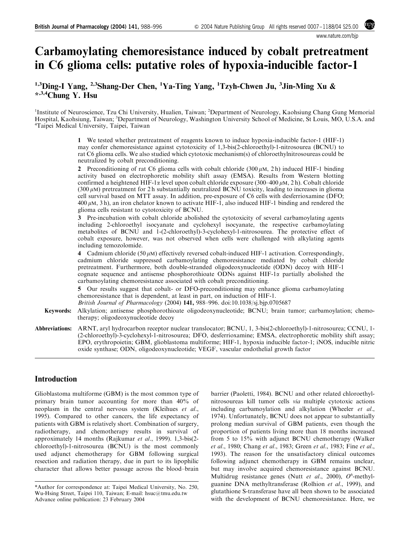www.nature.com

# Carbamoylating chemoresistance induced by cobalt pretreatment in C6 glioma cells: putative roles of hypoxia-inducible factor-1

<sup>1,3</sup>Ding-I Yang, <sup>2,3</sup>Shang-Der Chen, <sup>1</sup>Ya-Ting Yang, <sup>1</sup>Tzyh-Chwen Ju, <sup>3</sup>Jin-Ming Xu & \*,3,4Chung Y. Hsu

<sup>1</sup>Institute of Neuroscience, Tzu Chi University, Hualien, Taiwan; <sup>2</sup>Department of Neurology, Kaohsiung Chang Gung Memorial Hospital, Kaohsiung, Taiwan; <sup>3</sup>Department of Neurology, Washington University School of Medicine, St Louis, MO, U.S.A. and<br><sup>4</sup>Tainei Medical University, Tainei, Taiwan Taipei Medical University, Taipei, Taiwan

> 1 We tested whether pretreatment of reagents known to induce hypoxia-inducible factor-1 (HIF-1) may confer chemoresistance against cytotoxicity of 1,3-bis(2-chloroethyl)-1-nitrosourea (BCNU) to rat C6 glioma cells. We also studied which cytotoxic mechanism(s) of chloroethylnitrosoureas could be neutralized by cobalt preconditioning.

> 2 Preconditioning of rat C6 glioma cells with cobalt chloride (300  $\mu$ M, 2 h) induced HIF-1 binding activity based on electrophoretic mobility shift assay (EMSA). Results from Western blotting confirmed a heightened HIF-1 $\alpha$  level upon cobalt chloride exposure (300–400  $\mu$ M, 2 h). Cobalt chloride  $(300 \,\mu\text{M})$  pretreatment for 2 h substantially neutralized BCNU toxicity, leading to increases in glioma cell survival based on MTT assay. In addition, pre-exposure of C6 cells with desferrioxamine (DFO;  $400 \mu$ M, 3 h), an iron chelator known to activate HIF-1, also induced HIF-1 binding and rendered the glioma cells resistant to cytotoxicity of BCNU.

> 3 Pre-incubation with cobalt chloride abolished the cytotoxicity of several carbamoylating agents including 2-chloroethyl isocyanate and cyclohexyl isocyanate, the respective carbamoylating metabolites of BCNU and 1-(2-chloroethyl)-3-cyclohexyl-1-nitrosourea. The protective effect of cobalt exposure, however, was not observed when cells were challenged with alkylating agents including temozolomide.

> 4 Cadmium chloride (50  $\mu$ M) effectively reversed cobalt-induced HIF-1 activation. Correspondingly, cadmium chloride suppressed carbamoylating chemoresistance mediated by cobalt chloride pretreatment. Furthermore, both double-stranded oligodeoxynucleotide (ODN) decoy with HIF-1 cognate sequence and antisense phosphorothioate ODNs against  $HIF-I\alpha$  partially abolished the carbamoylating chemoresistance associated with cobalt preconditioning.

> 5 Our results suggest that cobalt- or DFO-preconditioning may enhance glioma carbamoylating chemoresistance that is dependent, at least in part, on induction of HIF-1.

British Journal of Pharmacology (2004) 141, 988–996. doi:10.1038/sj.bjp.0705687

- Keywords: Alkylation; antisense phosphorothioate oligodeoxynucleotide; BCNU; brain tumor; carbamoylation; chemotherapy; oligodeoxynucleotide decoy
- Abbreviations: ARNT, aryl hydrocarbon receptor nuclear translocator; BCNU, 1, 3-bis(2-chloroethyl)-1-nitrosourea; CCNU, 1- (2-chloroethyl)-3-cyclohexyl-1-nitrosourea; DFO, desferrioxamine; EMSA, electrophoretic mobility shift assay; EPO, erythropoietin; GBM, glioblastoma multiforme; HIF-1, hypoxia inducible factor-1; iNOS, inducible nitric oxide synthase; ODN, oligodeoxynucleotide; VEGF, vascular endothelial growth factor

### Introduction

Glioblastoma multiforme (GBM) is the most common type of primary brain tumor accounting for more than 40% of neoplasm in the central nervous system (Kleihues et al., 1995). Compared to other cancers, the life expectancy of patients with GBM is relatively short. Combination of surgery, radiotherapy, and chemotherapy results in survival of approximately 14 months (Rajkumar et al., 1999). 1,3-bis(2 chloroethyl)-1-nitrosourea (BCNU) is the most commonly used adjunct chemotherapy for GBM following surgical resection and radiation therapy, due in part to its lipophilic character that allows better passage across the blood–brain barrier (Paoletti, 1984). BCNU and other related chloroethylnitrosoureas kill tumor cells via multiple cytotoxic actions including carbamoylation and alkylation (Wheeler et al., 1974). Unfortunately, BCNU does not appear to substantially prolong median survival of GBM patients, even though the proportion of patients living more than 18 months increased from 5 to 15% with adjunct BCNU chemotherapy (Walker et al., 1980; Chang et al., 1983; Green et al., 1983; Fine et al., 1993). The reason for the unsatisfactory clinical outcomes following adjunct chemotherapy in GBM remains unclear, but may involve acquired chemoresistance against BCNU. Multidrug resistance genes (Nutt et al., 2000),  $O^6$ -methylguanine DNA methyltransferase (Rolhion et al., 1999), and glutathione S-transferase have all been shown to be associated with the development of BCNU chemoresistance. Here, we

<sup>\*</sup>Author for correspondence at: Taipei Medical University, No. 250, Wu-Hsing Street, Taipei 110, Taiwan; E-mail: hsuc@tmu.edu.tw Advance online publication: 23 February 2004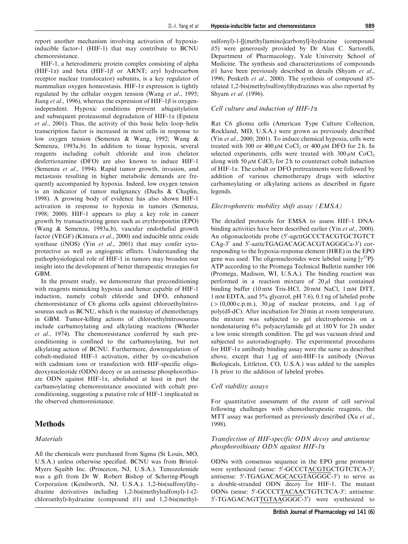report another mechanism involving activation of hypoxiainducible factor-1 (HIF-1) that may contribute to BCNU chemoresistance.

HIF-1, a heterodimeric protein complex consisting of alpha (HIF-1 $\alpha$ ) and beta (HIF-1 $\beta$  or ARNT; aryl hydrocarbon receptor nuclear translocator) subunits, is a key regulator of mammalian oxygen homeostasis. HIF-1 $\alpha$  expression is tightly regulated by the cellular oxygen tension (Wang *et al.*, 1995; Jiang *et al.*, 1996), whereas the expression of HIF-1 $\beta$  is oxygenindependent. Hypoxic conditions prevent ubiquitylation and subsequent proteasomal degradation of  $HIF-1\alpha$  (Epstein et al., 2001). Thus, the activity of this basic helix–loop–helix transcription factor is increased in most cells in response to low oxygen tension (Semenza & Wang, 1992; Wang & Semenza, 1993a,b). In addition to tissue hypoxia, several reagents including cobalt chloride and iron chelator desferrioxamine (DFO) are also known to induce HIF-1 (Semenza et al., 1994). Rapid tumor growth, invasion, and metastasis resulting in higher metabolic demands are frequently accompanied by hypoxia. Indeed, low oxygen tension is an indicator of tumor malignancy (Dachs & Chaplin, 1998). A growing body of evidence has also shown HIF-1 activation in response to hypoxia in tumors (Semenza, 1998; 2000). HIF-1 appears to play a key role in cancer growth by transactivating genes such as erythropoietin (EPO) (Wang & Semenza, 1993a,b), vascular endothelial growth factor (VEGF) (Kimura et al., 2000) and inducible nitric oxide synthase (iNOS) (Yin et al., 2001) that may confer cytoprotective as well as angiogenic effects. Understanding the pathophysiological role of HIF-1 in tumors may broaden our insight into the development of better therapeutic strategies for GBM.

In the present study, we demonstrate that preconditioning with reagents mimicking hypoxia and hence capable of HIF-1 induction, namely cobalt chloride and DFO, enhanced chemoresistance of C6 glioma cells against chloroethylnitrosoureas such as BCNU, which is the mainstay of chemotherapy in GBM. Tumor-killing actions of chloroethylnitrosoureas include carbamoylating and alkylating reactions (Wheeler et al., 1974). The chemoresistance conferred by such preconditioning is confined to the carbamoylating, but not alkylating action of BCNU. Furthermore, downregulation of cobalt-mediated HIF-1 activation, either by co-incubation with cadmium ions or transfection with HIF-specific oligodeoxynucleotide (ODN) decoy or an antisense phosphorothioate ODN against HIF-1 $\alpha$ , abolished at least in part the carbamoylating chemoresistance associated with cobalt preconditioning, suggesting a putative role of HIF-1 implicated in the observed chemoresistance.

## Methods

## **Materials**

All the chemicals were purchased from Sigma (St Louis, MO, U.S.A.) unless otherwise specified. BCNU was from Bristol-Myers Squibb Inc. (Princeton, NJ, U.S.A.). Temozolomide was a gift from Dr W. Robert Bishop of Schering-Plough Corporation (Kenilworth, NJ, U.S.A.). 1,2-bis(sulfonyl)hydrazine derivatives including 1,2-bis(methylsulfonyl)-1-(2 chloroethyl)-hydrazine (compound #1) and 1,2-bis(methylsulfonyl)-1-[[(methyl)amino]carbonyl]-hydrazine (compound #5) were generously provided by Dr Alan C. Sartorelli, Department of Pharmacology, Yale University School of Medicine. The synthesis and characterizations of compounds #1 have been previously described in details (Shyam et al., 1996; Penketh et al., 2000). The synthesis of compound  $#5$ related 1,2-bis(methylsulfonyl)hydrazines was also reported by Shyam et al. (1996).

#### Cell culture and induction of  $HIF-1\alpha$

Rat C6 glioma cells (American Type Culture Collection, Rockland, MD, U.S.A.) were grown as previously described (Yin et al., 2000; 2001). To induce chemical hypoxia, cells were treated with 300 or 400  $\mu$ M CoCl<sub>2</sub> or 400  $\mu$ M DFO for 2 h. In selected experiments, cells were treated with  $300 \mu M$  CoCl<sub>2</sub> along with 50  $\mu$ M CdCl<sub>2</sub> for 2 h to counteract cobalt induction of HIF-1a. The cobalt or DFO pretreatments were followed by addition of various chemotherapy drugs with selective carbamoylating or alkylating actions as described in figure legends.

#### Electrophoretic mobility shift assay (EMSA)

The detailed protocols for EMSA to assess HIF-1 DNAbinding activities have been described earlier (Yin et al., 2000). An oligonucleotide probe (5'-agcttGCCCTACGTGCTGTCT CAg-3' and 5'-aattcTGAGACACGCACGTAGGGCa-3') corresponding to the hypoxia-response element (HRE) in the EPO gene was used. The oligonucleotides were labeled using  $[\gamma^{32}P]$ -ATP according to the Promega Technical Bulletin number 106 (Promega, Madison, WI, U.S.A.). The binding reaction was performed in a reaction mixture of  $20 \mu l$  that contained binding buffer (10 mM Tris-HCl, 20 mM NaCl, 1 mM DTT, 1 mM EDTA, and 5% glycerol, pH 7.6), 0.1 ng of labeled probe  $(>10,000 \text{ c.p.m.}),$  30  $\mu$ g of nuclear proteins, and 1  $\mu$ g of poly(dI-dC). After incubation for 20 min at room temperature, the mixture was subjected to gel electrophoresis on a nondenaturing 6% polyacrylamide gel at 180 V for 2 h under a low ionic strength condition. The gel was vacuum dried and subjected to autoradiography. The experimental procedures for HIF-1 $\alpha$  antibody binding assay were the same as described above, except that  $1 \mu$ g of anti-HIF-1 $\alpha$  antibody (Novus Biologicals, Littleton, CO, U.S.A.) was added to the samples 1 h prior to the addition of labeled probes.

#### Cell viability assays

For quantitative assessment of the extent of cell survival following challenges with chemotherapeutic reagents, the MTT assay was performed as previously described (Xu et al., 1998).

#### Transfection of HIF-specific ODN decoy and antisense phosphorothioate ODN against HIF-1a

ODNs with consensus sequence in the EPO gene promoter were synthesized (sense: 5'-GCCCTACGTGCTGTCTCA-3'; antisense: 5'-TGAGACAGCACGTAGGGC-3') to serve as a double-stranded ODN decoy for HIF-1. The mutant ODNs (sense: 5'-GCCCTTACAACTGTCTCA-3'; antisense: 5'-TGAGACAGTTGTAAGGGC-3') were synthesized to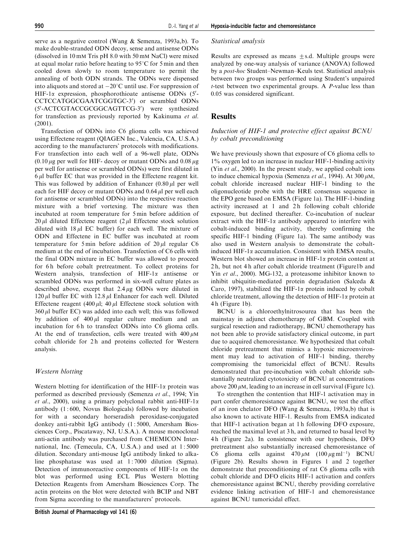serve as a negative control (Wang & Semenza, 1993a,b). To make double-stranded ODN decoy, sense and antisense ODNs (dissolved in 10 mM Tris pH 8.0 with 50 mM NaCl) were mixed at equal molar ratio before heating to  $95^{\circ}$ C for 5 min and then cooled down slowly to room temperature to permit the annealing of both ODN strands. The ODNs were dispensed into aliquots and stored at  $-20^{\circ}$ C until use. For suppression of HIF-1 $\alpha$  expression, phosphorothioate antisense ODNs (5'-CCTCCATGGCGAATCGGTGC-3') or scrambled ODNs (5'-ACTCGTACCGCGGCAGTTCG-3') were synthesized for transfection as previously reported by Kakinuma et al. (2001).

Transfection of ODNs into C6 glioma cells was achieved using Effectene reagent (QIAGEN Inc., Valencia, CA, U.S.A.) according to the manufacturers' protocols with modifications. For transfection into each well of a 96-well plate, ODNs  $(0.10 \,\mu$ g per well for HIF- decoy or mutant ODNs and  $0.08 \,\mu$ g per well for antisense or scrambled ODNs) were first diluted in  $6 \mu l$  buffer EC that was provided in the Effectene reagent kit. This was followed by addition of Enhancer  $(0.80 \mu l \text{ per well})$ each for HIF decoy or mutant ODNs and  $0.64 \mu$ l per well each for antisense or scrambled ODNs) into the respective reaction mixture with a brief vortexing. The mixture was then incubated at room temperature for 5 min before addition of 20  $\mu$ l diluted Effectene reagent (2  $\mu$ l Effectene stock solution diluted with  $18 \mu$ l EC buffer) for each well. The mixture of ODN and Effectene in EC buffer was incubated at room temperature for 5 min before addition of  $20 \mu$ l regular C6 medium at the end of incubation. Transfection of C6 cells with the final ODN mixture in EC buffer was allowed to proceed for 6h before cobalt pretreatment. To collect proteins for Western analysis, transfection of HIF-1 $\alpha$  antisense or scrambled ODNs was performed in six-well culture plates as described above, except that  $2.4 \mu$ g ODNs were diluted in 120  $\mu$ l buffer EC with 12.8  $\mu$ l Enhancer for each well. Diluted Effectene reagent (400  $\mu$ l; 40  $\mu$ l Effectene stock solution with  $360 \mu l$  buffer EC) was added into each well; this was followed by addition of  $400 \mu l$  regular culture medium and an incubation for 6h to transfect ODNs into C6 glioma cells. At the end of transfection, cells were treated with  $400 \mu M$ cobalt chloride for 2h and proteins collected for Western analysis.

#### Western blotting

Western blotting for identification of the HIF-1 $\alpha$  protein was performed as described previously (Semenza et al., 1994; Yin et al., 2000), using a primary polyclonal rabbit anti-HIF-1 $\alpha$ antibody (1 : 600, Novus Biologicals) followed by incubation for with a secondary horseradish peroxidase-conjugated donkey anti-rabbit IgG antibody (1 : 5000, Amersham Biosciences Corp., Piscataway, NJ, U.S.A.). A mouse monoclonal anti-actin antibody was purchased from CHEMICON International, Inc. (Temecula, CA, U.S.A.) and used at 1:5000 dilution. Secondary anti-mouse IgG antibody linked to alkaline phosphatase was used at 1 : 7000 dilution (Sigma). Detection of immunoreactive components of HIF-1 $\alpha$  on the blot was performed using ECL Plus Western blotting Detection Reagents from Amersham Biosciences Corp. The actin proteins on the blot were detected with BCIP and NBT from Sigma according to the manufacturers' protocols.

#### Statistical analysis

Results are expressed as means  $+s.d.$  Multiple groups were analyzed by one-way analysis of variance (ANOVA) followed by a post-hoc Student–Newman–Keuls test. Statistical analysis between two groups was performed using Student's unpaired t-test between two experimental groups. A P-value less than 0.05 was considered significant.

## Results

#### Induction of HIF-1 and protective effect against BCNU by cobalt preconditioning

We have previously shown that exposure of C6 glioma cells to 1% oxygen led to an increase in nuclear HIF-1-binding activity (Yin et al., 2000). In the present study, we applied cobalt ions to induce chemical hypoxia (Semenza et al., 1994). At 300  $\mu$ M, cobalt chloride increased nuclear HIF-1 binding to the oligonucleotide probe with the HRE consensus sequence in the EPO gene based on EMSA (Figure 1a). The HIF-1-binding activity increased at 1 and 2 h following cobalt chloride exposure, but declined thereafter. Co-incubation of nuclear extract with the HIF-1 $\alpha$  antibody appeared to interfere with cobalt-induced binding activity, thereby confirming the specific HIF-1 binding (Figure 1a). The same antibody was also used in Western analysis to demonstrate the cobaltinduced HIF-1 $\alpha$  accumulation. Consistent with EMSA results, Western blot showed an increase in HIF-1 $\alpha$  protein content at 2 h, but not 4 h after cobalt chloride treatment (Figure1b and Yin et al., 2000). MG-132, a proteasome inhibitor known to inhibit ubiquitin-mediated protein degradation (Salceda & Caro, 1997), stabilized the HIF-1 $\alpha$  protein induced by cobalt chloride treatment, allowing the detection of HIF-1 $\alpha$  protein at 4 h (Figure 1b).

BCNU is a chloroethylnitrosourea that has been the mainstay in adjunct chemotherapy of GBM. Coupled with surgical resection and radiotherapy, BCNU chemotherapy has not been able to provide satisfactory clinical outcome, in part due to acquired chemoresistance. We hypothesized that cobalt chloride pretreatment that mimics a hypoxic microenvironment may lead to activation of HIF-1 binding, thereby compromising the tumoricidal effect of BCNU. Results demonstrated that pre-incubation with cobalt chloride substantially neutralized cytotoxicity of BCNU at concentrations above 200  $\mu$ M, leading to an increase in cell survival (Figure 1c).

To strengthen the contention that HIF-1 activation may in part confer chemoresistance against BCNU, we test the effect of an iron chelator DFO (Wang & Semenza, 1993a,b) that is also known to activate HIF-1. Results from EMSA indicated that HIF-1 activation began at 1 h following DFO exposure, reached the maximal level at 3 h, and returned to basal level by 4 h (Figure 2a). In consistence with our hypothesis, DFO pretreatment also substantially increased chemoresistance of C6 glioma cells against  $470 \mu M$   $(100 \mu g m l^{-1})$  BCNU (Figure 2b). Results shown in Figures 1 and 2 together demonstrate that preconditioning of rat C6 glioma cells with cobalt chloride and DFO elicits HIF-1 activation and confers chemoresistance against BCNU, thereby providing correlative evidence linking activation of HIF-1 and chemoresistance against BCNU tumoricidal effect.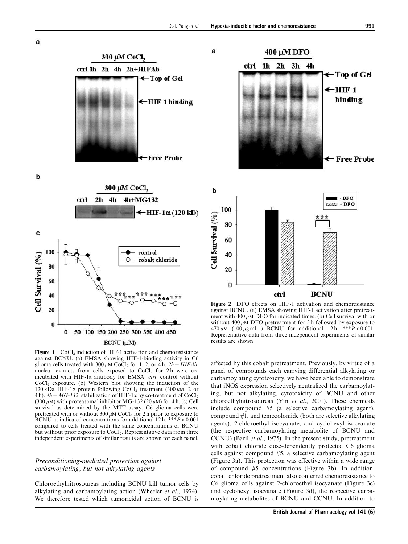a





300 µM CoCl,

BCNU (μM)

Figure 1 CoCl<sub>2</sub> induction of HIF-1 activation and chemoresistance against BCNU. (a) EMSA showing HIF-1-binding activity in C6 glioma cells treated with 300  $\mu$ M CoCl<sub>2</sub> for 1, 2, or 4 h.  $2h + HIFAb$ : nuclear extracts from cells exposed to  $CoCl<sub>2</sub>$  for 2h were coincubated with HIF-1 $\alpha$  antibody for EMSA. *ctrl*: control without  $CoCl<sub>2</sub>$  exposure. (b) Western blot showing the induction of the 120 kDa HIF-1 $\alpha$  protein following CoCl<sub>2</sub> treatment (300  $\mu$ M, 2 or 4 h).  $4h + MG-132$ : stabilization of HIF-1 $\alpha$  by co-treatment of CoCl<sub>2</sub> (300  $\mu$ M) with proteasomal inhibitor MG-132 (20  $\mu$ M) for 4 h. (c) Cell survival as determined by the MTT assay. C6 glioma cells were pretreated with or without 300  $\mu$ M CoCl<sub>2</sub> for 2 h prior to exposure to BCNU at indicated concentrations for additional 12 h. \*\*\* $P$ <0.001 compared to cells treated with the same concentrations of BCNU but without prior exposure to CoCl<sub>2</sub>. Representative data from three independent experiments of similar results are shown for each panel.

## Preconditioning-mediated protection against carbamoylating, but not alkylating agents

Chloroethylnitrosoureas including BCNU kill tumor cells by alkylating and carbamoylating action (Wheeler et al., 1974). We therefore tested which tumoricidal action of BCNU is



400 µM DFO

Figure 2 DFO effects on HIF-1 activation and chemoresistance against BCNU. (a) EMSA showing HIF-1 activation after pretreatment with 400  $\mu$ M DFO for indicated times. (b) Cell survival with or without 400  $\mu$ M DFO pretreatment for 3 h followed by exposure to 470  $\mu$ M (100  $\mu$ g ml<sup>-1</sup>) BCNU for additional 12 h. \*\*\* $P < 0.001$ . Representative data from three independent experiments of similar results are shown.

affected by this cobalt pretreatment. Previously, by virtue of a panel of compounds each carrying differential alkylating or carbamoylating cytotoxicity, we have been able to demonstrate that iNOS expression selectively neutralized the carbamoylating, but not alkylating, cytotoxicity of BCNU and other chloroethylnitrosoureas (Yin et al., 2001). These chemicals include compound #5 (a selective carbamoylating agent), compound #1, and temozolomide (both are selective alkylating agents), 2-chloroethyl isocyanate, and cyclohexyl isocyanate (the respective carbamoylating metabolite of BCNU and CCNU) (Baril et al., 1975). In the present study, pretreatment with cobalt chloride dose-dependently protected C6 glioma cells against compound #5, a selective carbamoylating agent (Figure 3a). This protection was effective within a wide range of compound #5 concentrations (Figure 3b). In addition, cobalt chloride pretreatment also conferred chemoresistance to C6 glioma cells against 2-chloroethyl isocyanate (Figure 3c) and cyclohexyl isocyanate (Figure 3d), the respective carbamoylating metabolites of BCNU and CCNU. In addition to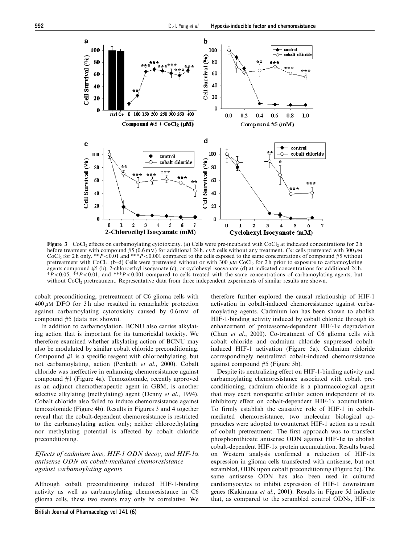

**Figure 3** CoCl<sub>2</sub> effects on carbamoylating cytotoxicity. (a) Cells were pre-incubated with CoCl<sub>2</sub> at indicated concentrations for 2 h before treatment with compound #5 (0.6 mM) for additional 24 h. *ctrl*: cells without any treatment. Co: cells pretreated with 300  $\mu$ M CoCl<sub>2</sub> for 2 h only. \*\*P<0.01 and \*\*\*P <0.001 compared to the cells exposed to the same concentrations of compound #5 without pretreatment with CoCl<sub>2</sub>. (b–d) Cells were pretreated without or with  $300 \mu \text{M }$  CoCl<sub>2</sub> for 2 h prior to exposure to carbamoylating agents compound #5 (b), 2-chloroethyl isocyanate (c), or cyclohexyl isocyanate (d) at indicated concentrations for additional 24 h.  $*P<0.05$ ,  $*P<0.01$ , and  $**P<0.001$  compared to cells treated with the same concentrations of carbamoylating agents, but without CoCl<sub>2</sub> pretreatment. Representative data from three independent experiments of similar results are shown.

cobalt preconditioning, pretreatment of C6 glioma cells with  $400 \mu M$  DFO for 3h also resulted in remarkable protection against carbamoylating cytotoxicity caused by 0.6 mM of compound #5 (data not shown).

In addition to carbamoylation, BCNU also carries alkylating action that is important for its tumoricidal toxicity. We therefore examined whether alkylating action of BCNU may also be modulated by similar cobalt chloride preconditioning. Compound #1 is a specific reagent with chloroethylating, but not carbamoylating, action (Penketh et al., 2000). Cobalt chloride was ineffective in enhancing chemoresistance against compound #1 (Figure 4a). Temozolomide, recently approved as an adjunct chemotherapeutic agent in GBM, is another selective alkylating (methylating) agent (Denny et al., 1994). Cobalt chloride also failed to induce chemoresistance against temozolomide (Figure 4b). Results in Figures 3 and 4 together reveal that the cobalt-dependent chemoresistance is restricted to the carbamoylating action only; neither chloroethylating nor methylating potential is affected by cobalt chloride preconditioning.

#### Effects of cadmium ions, HIF-1 ODN decoy, and HIF-1a antisense ODN on cobalt-mediated chemoresistance against carbamoylating agents

Although cobalt preconditioning induced HIF-1-binding activity as well as carbamoylating chemoresistance in C6 glioma cells, these two events may only be correlative. We therefore further explored the causal relationship of HIF-1 activation in cobalt-induced chemoresistance against carbamoylating agents. Cadmium ion has been shown to abolish HIF-1-binding activity induced by cobalt chloride through its enhancement of proteasome-dependent HIF-1a degradation (Chun et al., 2000). Co-treatment of C6 glioma cells with cobalt chloride and cadmium chloride suppressed cobaltinduced HIF-1 activation (Figure 5a). Cadmium chloride correspondingly neutralized cobalt-induced chemoresistance against compound #5 (Figure 5b).

Despite its neutralizing effect on HIF-1-binding activity and carbamoylating chemoresistance associated with cobalt preconditioning, cadmium chloride is a pharmacological agent that may exert nonspecific cellular action independent of its inhibitory effect on cobalt-dependent HIF-1 $\alpha$  accumulation. To firmly establish the causative role of HIF-1 in cobaltmediated chemoresistance, two molecular biological approaches were adopted to counteract HIF-1 action as a result of cobalt pretreatment. The first approach was to transfect phosphorothioate antisense ODN against HIF-1 $\alpha$  to abolish cobalt-dependent HIF-1a protein accumulation. Results based on Western analysis confirmed a reduction of HIF-1a expression in glioma cells transfected with antisense, but not scrambled, ODN upon cobalt preconditioning (Figure 5c). The same antisense ODN has also been used in cultured cardiomyocytes to inhibit expression of HIF-1 downstream genes (Kakinuma et al., 2001). Results in Figure 5d indicate that, as compared to the scrambled control ODNs,  $HIF-1\alpha$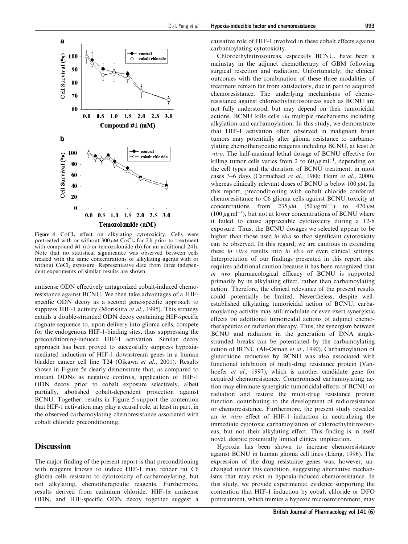

Figure 4 CoCl<sub>2</sub> effect on alkylating cytotoxicity. Cells were pretreated with or without  $300 \mu M$  CoCl<sub>2</sub> for 2 h prior to treatment with compound  $#1$  (a) or temozolomide (b) for an additional 24 h. Note that no statistical significance was observed between cells treated with the same concentrations of alkylating agents with or without CoCl<sub>2</sub> exposure. Representative data from three independent experiments of similar results are shown.

antisense ODN effectively antagonized cobalt-induced chemoresistance against BCNU. We then take advantages of a HIFspecific ODN decoy as a second gene-specific approach to suppress HIF-1 activity (Morishita et al., 1995). This strategy entails a double-stranded ODN decoy containing HIF-specific cognate sequence to, upon delivery into glioma cells, compete for the endogenous HIF-1-binding sites, thus suppressing the preconditioning-induced HIF-1 activation. Similar decoy approach has been proved to successfully suppress hypoxiamediated induction of HIF-1 downstream genes in a human bladder cancer cell line T24 (Oikawa et al., 2001). Results shown in Figure 5e clearly demonstrate that, as compared to mutant ODNs as negative controls, application of HIF-1 ODN decoy prior to cobalt exposure selectively, albeit partially, abolished cobalt-dependent protection against BCNU. Together, results in Figure 5 support the contention that HIF-1 activation may play a causal role, at least in part, in the observed carbamoylating chemoresistance associated with cobalt chloride preconditioning.

# **Discussion**

The major finding of the present report is that preconditioning with reagents known to induce HIF-1 may render rat C6 glioma cells resistant to cytotoxicity of carbamoylating, but not alkylating, chemotherapeutic reagents. Furthermore, results derived from cadmium chloride,  $HIF-1\alpha$  antisense ODN, and HIF-specific ODN decoy together suggest a causative role of HIF-1 involved in these cobalt effects against carbamoylating cytotoxicity.

Chloroethylnitrosoureas, especially BCNU, have been a mainstay in the adjunct chemotherapy of GBM following surgical resection and radiation. Unfortunately, the clinical outcomes with the combination of these three modalities of treatment remain far from satisfactory, due in part to acquired chemoresistance. The underlying mechanisms of chemoresistance against chloroethylnitrosoureas such as BCNU are not fully understood, but may depend on their tumoricidal actions. BCNU kills cells via multiple mechanisms including alkylation and carbamoylation. In this study, we demonstrate that HIF-1 activation often observed in malignant brain tumors may potentially alter glioma resistance to carbamoylating chemotherapeutic reagents including BCNU, at least in vitro. The half-maximal lethal dosage of BCNU effective for killing tumor cells varies from 2 to  $60 \mu g$  ml<sup>-1</sup>, depending on the cell types and the duration of BCNU treatment, in most cases 3–6 days (Carmichael et al., 1988; Heim et al., 2000), whereas clinically relevant doses of BCNU is below 100  $\mu$ M. In this report, preconditioning with cobalt chloride conferred chemoresistance to C6 glioma cells against BCNU toxicity at concentrations from  $235 \mu M$   $(50 \mu g \text{ ml}^{-1})$  to  $470 \mu M$  $(100 \,\mu\text{g}\,\text{ml}^{-1})$ , but not at lower concentrations of BCNU where it failed to cause appreciable cytotoxicity during a 12-h exposure. Thus, the BCNU dosages we selected appear to be higher than those used in vivo so that significant cytotoxicity can be observed. In this regard, we are cautious in extending these in vitro results into in vivo or even clinical settings. Interpretation of our findings presented in this report also requires additional caution because it has been recognized that in vivo pharmacological efficacy of BCNU is supported primarily by its alkylating effect, rather than carbamoylating action. Therefore, the clinical relevance of the present results could potentially be limited. Nevertheless, despite wellestablished alkylating tumoricidal action of BCNU, carbamoylating activity may still modulate or even exert synergistic effects on additional tumoricidal actions of adjunct chemotherapeutics or radiation therapy. Thus, the synergism between BCNU and radiation in the generation of DNA singlestranded breaks can be potentiated by the carbamoylating action of BCNU (Ali-Osman et al., 1990). Carbamoylation of glutathione reductase by BCNU was also associated with functional inhibition of multi-drug resistance protein (Vanhoefer *et al.*, 1997), which is another candidate gene for acquired chemoresistance. Compromised carbamoylating action may eliminate synergistic tumoricidal effects of BCNU or radiation and restore the multi-drug resistance protein function, contributing to the development of radioresistance or chemoresistance. Furthermore, the present study revealed an in vitro effect of HIF-1 induction in neutralizing the immediate cytotoxic carbamoylation of chloroethylnitrosoureas, but not their alkylating effect. This finding is in itself novel, despite potentially limited clinical implication.

Hypoxia has been shown to increase chemoresistance against BCNU in human glioma cell lines (Liang, 1996). The expression of the drug resistance genes was, however, unchanged under this condition, suggesting alternative mechanisms that may exist in hypoxia-induced chemoresistance. In this study, we provide experimental evidence supporting the contention that HIF-1 induction by cobalt chloride or DFO pretreatment, which mimics a hypoxic microenvironment, may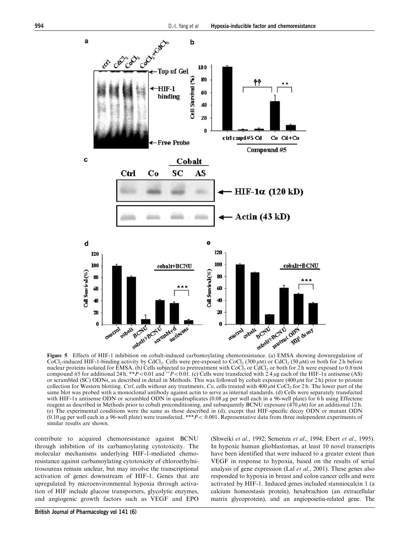

CoCl<sub>2</sub>-induced HIF-1-binding activity by CdCl<sub>2</sub>. Cells were pre-exposed to CoCl<sub>2</sub> (300  $\mu$ M) or CdCl<sub>2</sub> (50  $\mu$ M) or both for 2 h before nuclear proteins isolated for EMSA. (b) Cells subjected to pretreatment with CoCl<sub>2</sub> or CdCl<sub>2</sub> or both for 2 h were exposed to 0.8 mM compound #5 for additional 24 h. \*\* $\hat{P}$  < 0.01 and  $\hat{P}$  + P < 0.01. (c) Cells were transfected with 2.4  $\mu$ g each of the HIF-1 $\alpha$  antisense (AS) or scrambled (SC) ODNs, as described in detail in Methods. This was followed by cobalt exposure (400  $\mu$ M for 2 h) prior to protein collection for Western blotting. Ctrl, cells without any treatments. Co, cells treated with 400  $\mu$ M CoCl<sub>2</sub> for 2 h. The lower part of the same blot was probed with a monoclonal antibody against actin to serve as internal standards. (d) Cells were separately transfected with HIF-1 $\alpha$  antisense ODN or scrambled ODN in quadruplicates (0.08  $\mu$ g per well each in a 96-well plate) for 6 h using Effectene reagent as described in Methods prior to cobalt preconditioning, and subsequently BCNU exposure  $(470 \,\mu\text{M})$  for an additional 12 h. (e) The experimental conditions were the same as those described in (d), except that HIF-specific decoy ODN or mutant ODN  $(0.10 \mu g$  per well each in a 96-well plate) were transfected. \*\*\* $P < 0.001$ . Representative data from three independent experiments of similar results are shown.

contribute to acquired chemoresistance against BCNU through inhibition of its carbamoylating cytotoxicity. The molecular mechanisms underlying HIF-1-mediated chemoresistance against carbamoylating cytotoxicity of chloroethylnitrosoureas remain unclear, but may involve the transcriptional activation of genes downstream of HIF-1. Genes that are upregulated by microenvironmental hypoxia through activation of HIF include glucose transporters, glycolytic enzymes, and angiogenic growth factors such as VEGF and EPO (Shweiki et al., 1992; Semenza et al., 1994; Ebert et al., 1995). In hypoxic human glioblastomas, at least 10 novel transcripts have been identified that were induced to a greater extent than VEGF in response to hypoxia, based on the results of serial analysis of gene expression (Lal et al., 2001). These genes also responded to hypoxia in breast and colon cancer cells and were activated by HIF-1. Induced genes included stanniocalcin 1 (a calcium homeostasis protein), hexabrachion (an extracellular matrix glycoprotein), and an angiopoietin-related gene. The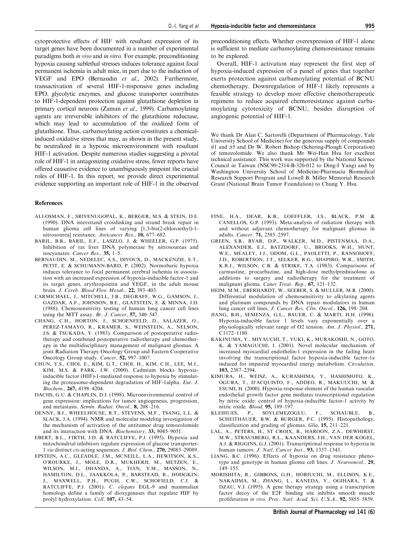cytoprotective effects of HIF with resultant expression of its target genes have been documented in a number of experimental paradigms both in vivo and in vitro. For example, preconditioning hypoxia causing sublethal stresses induces tolerance against focal permanent ischemia in adult mice, in part due to the induction of VEGF and EPO (Bernaudin et al., 2002). Furthermore, transactivation of several HIF-1-responsive genes including EPO, glycolytic enzymes, and glucose transporter contributes to HIF-1-dependent protection against glutathione depletion in primary cortical neurons (Zaman et al., 1999). Carbamoylating agents are irreversible inhibitors of the glutathione reductase, which may lead to accumulation of the oxidized form of glutathione. Thus, carbamoylating action constitutes a chemicalinduced oxidative stress that may, as shown in the present study, be neutralized in a hypoxic microenvironment with resultant HIF-1 activation. Despite numerous studies suggesting a pivotal role of HIF-1 in antagonizing oxidative stress, fewer reports have offered causative evidence to unambiguously pinpoint the crucial roles of HIF-1. In this report, we provide direct experimental evidence supporting an important role of HIF-1 in the observed

#### References

- ALI-OSMAN, F., SRIVENUGOPAL, K., BERGER, M.S. & STEIN, D.E. (1990). DNA interstrand crosslinking and strand break repair in human glioma cell lines of varying [1,3-bis(2-chloroethyl)-1 nitrosourea] resistance. Anticancer Res., 10, 677–682.
- BARIL, B.B., BARIL, E.F., LASZLO, J. & WHEELER, G.P. (1975). Inhibition of rat liver DNA polymerase by nitrosoureas and isocyanates. Cancer Res., 35, 1–5.
- BERNAUDIN, M., NEDELEC, A.S., DIVOUX, D., MACKENZIE, E.T., PETIT, E. & SCHUMANN-BARD, P. (2002). Normobaric hypoxia induces tolerance to focal permanent cerebral ischemia in association with an increased expression of hypoxia-inducible factor-1 and its target genes, erythropoietin and VEGF, in the adult mouse brain. J. Cereb. Blood Flow Metab., 22, 393–403.
- CARMICHAEL, J., MITCHELL, J.B., DEGRAFF, W.G., GAMSON, J., GAZDAR, A.F., JOHNSON, B.E., GLATSTEIN, E. & MINNA, J.D. (1988). Chemosensitivity testing of human lung cancer cell lines using the MTT assay. Br. J. Cancer, 57, 540–547.
- CHANG, C.H., HORTON, J., SCHOENFELD, D., SALAZER, O., PEREZ-TAMAYO, R., KRAMER, S., WEINSTEIN, A., NELSON, J.S. & TSUKADA, Y. (1983). Comparison of postoperative radiotherapy and combined postoperative radiotherapy and chemotherapy in the multidisciplinary management of malignant gliomas. A joint Radiation Therapy Oncology Group and Eastern Cooperative Oncology Group study. Cancer, 52, 997–1007.
- CHUN, Y.S., CHOI, E., KIM, G.T., CHOI, H., KIM, C.H., LEE, M.J., KIM, M.S. & PARK, J.W. (2000). Cadmium blocks hypoxiainducible factor (HIF)-1-mediated response to hypoxia by stimulating the proteasome-dependent degradation of HIF-1alpha. Eur. J. Biochem., 267, 4198–4204.
- DACHS, G.U. & CHAPLIN, D.J. (1998). Microenvironmental control of gene expression: implications for tumor angiogenesis, progression, and metastasis. Semin. Radiat. Oncol., 8, 208–216.
- DENNY, B.J., WHEELHOUSE, R.T., STEVENS, M.F., TSANG, L.L. & SLACK, J.A. (1994). NMR and molecular modeling investigation of the mechanism of activation of the antitumor drug temozolomide and its interaction with DNA. Biochemistry, 33, 9045–9051.
- EBERT, B.L., FIRTH, J.D. & RATCLIFFE, P.J. (1995). Hypoxia and mitochondrial inhibitors regulate expression of glucose transporter-1 via distinct cis-acting sequences. J. Biol. Chem., 270, 29083–29089.
- EPSTEIN, A.C., GLEADLE, J.M., MCNEILL, L.A., HEWITSON, K.S., O'ROURKE, J., MOLE, D.R., MUKHERJI, M., METZEN, E., WILSON, M.I., DHANDA, A., TIAN, Y.M., MASSON, N., HAMILTON, D.L., JAAKKOLA, P., BARSTEAD, R., HODGKIN, J., MAXWELL, P.H., PUGH, C.W., SCHOFIELD, C.J. & RATCLIFFE, P.J. (2001). C. elegans EGL-9 and mammalian homologs define a family of dioxygenases that regulate HIF by prolyl hydroxylation. Cell, 107, 43–54.

preconditioning effects. Whether overexpression of HIF-1 alone is sufficient to mediate carbamoylating chemoresistance remains to be explored.

Overall, HIF-1 activation may represent the first step of hypoxia-induced expression of a panel of genes that together exerts protection against carbamoylating potential of BCNU chemotherapy. Downregulation of HIF-1 likely represents a feasible strategy to develop more effective chemotherapeutic regimens to reduce acquired chemoresistance against carbamoylating cytotoxicity of BCNU, besides disruption of angiogenic potential of HIF-1.

We thank Dr Alan C. Sartorelli (Department of Pharmacology, Yale University School of Medicine) for the generous supply of compounds #1 and #5 and Dr W. Robert Bishop (Schering-Plough Corporation) of temozolomide. We also thank Mr Wei-Han Hsu for excellent technical assistance. This work was supported by the National Science Council in Taiwan (NSC90-2314-B-320-012 to Ding-I Yang) and by Washington University School of Medicine-Pharmacia Biomedical Research Support Program and Lowell B. Miller Memorial Research Grant (National Brain Tumor Foundation) to Chung Y. Hsu.

- FINE, H.A., DEAR, K.B., LOEFFLER, J.S., BLACK, P.M. & CANELLOS, G.P. (1993). Meta-analysis of radiation therapy with and without adjuvant chemotherapy for malignant gliomas in adults. Cancer, 71, 2585–2597.
- GREEN, S.B., BYAR, D.P., WALKER, M.D., PISTENMAA, D.A., ALEXANDER, E.J., BATZDORF, U., BROOKS, W.H., HUNT, W.E., MEALEY, J.J., ODOM, G.L., PAOLETTI, P., RANSOHOFF, J.D., ROBERTSON, J.T., SELKER, R.G., SHAPIRO, W.R., SMITH, K.R.J., WILSON, C.B. & STRIKE, T.A. (1983). Comparisons of carmustine, procarbazine, and high-dose methylprednisolone as additions to surgery and radiotherapy for the treatment of malignant glioma. Caner Treat. Rep., 67, 121–132.
- HEIM, M.M., EBERHARDT, W., SEEBER, S. & MULLER, M.R. (2000). Differential modulation of chemosensitivity to alkylating agents and platinum compounds by DNA repair modulators in human lung cancer cell lines. J. Cancer Res. Clin. Oncol., 126, 198–204.
- JIANG, B.H., SEMENZA, G.L., BAUER, C. & MARTI, H.H. (1996). Hypoxia-inducible factor 1 levels vary exponentially over a physiologically relevant range of O2 tension. Am. J. Physiol., 271, C1172–1180.
- KAKINUMA, Y., MIYAUCHI, T., YUKI, K., MURAKOSHI, N., GOTO, K. & YAMAGUCHI, I. (2001). Novel molecular mechanism of increased myocardial endothelin-1 experssion in the failing heart involving the transcriptional factor hypoxia-inducible factor-1a induced for impaired myocardial energy metabolism. Circulation, 103, 2387–2394.
- KIMURA, H., WEISZ, A., KURASHIMA, Y., HASHIMOTO, K., OGURA, T., D'ACQUISTO, F., ADDEO, R., MAKUUCHI, M. & ESUMI, H. (2000). Hypoxia response element of the human vascular endothelial growth factor gene mediates transcriptional regulation by nitric oxide: control of hypoxia-inducible factor-1 activity by nitric oxide. Blood, 95, 189–197.
- KLEIHUES, P., SOYLEMEZOGLU, F., SCHAUBLE, B., SCHEITHAUER, B.W. & BURGER, P.C. (1995). Histopathology, classification and grading of gliomas. Glia, 15, 211–221.
- LAL, A., PETERS, H., ST CROIX, B., HAROON, Z.A., DEWHIRST, M.W., STRAUSBERG, R.L., KAANDERS, J.H., VAN DER KOGEL, A.J. & RIGGINS, G.J. (2001). Transcriptional response to hypoxia in human tumors. J. Natl. Cancer Inst., 93, 1337–1343.
- LIANG, B.C. (1996). Effects of hypoxia on drug resistance phenotype and genotype in human glioma cell lines. J. Neurooncol., 29, 149–155.
- MORISHITA, R., GIBBONS, G.H., HORIUCHI, M., ELLISON, K.E., NAKAJIMA, M., ZHANG, L., KANEDA, Y., OGIHARA, T. & DZAU, V.J. (1995). A gene therapy strategy using a transcription factor decoy of the E2F binding site inhibits smooth muscle proliferation in vivo. Proc. Natl. Acad. Sci. U.S.A., 92, 5855–5859.